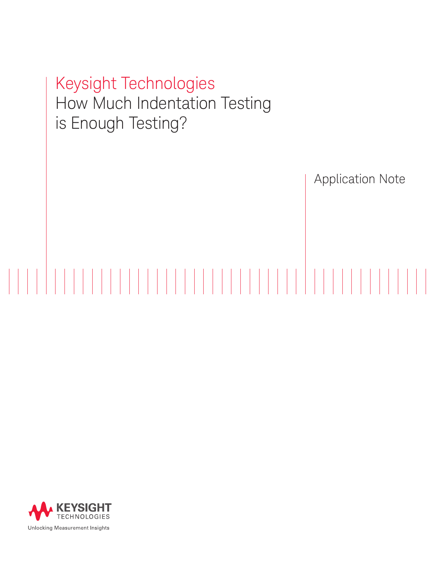Keysight Technologies How Much Indentation Testing is Enough Testing?

Application Note

# 

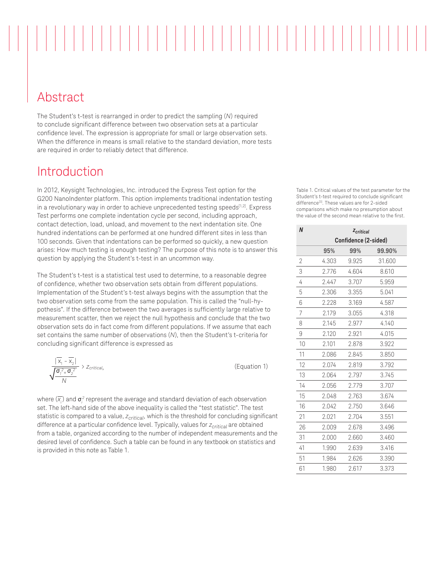Abstract

The Student's t-test is rearranged in order to predict the sampling (*N*) required to conclude significant difference between two observation sets at a particular confidence level. The expression is appropriate for small or large observation sets. When the difference in means is small relative to the standard deviation, more tests are required in order to reliably detect that difference.

### Introduction

In 2012, Keysight Technologies, Inc. introduced the Express Test option for the G200 NanoIndenter platform. This option implements traditional indentation testing in a revolutionary way in order to achieve unprecedented testing speeds<sup>[1,2]</sup>. Express Test performs one complete indentation cycle per second, including approach, contact detection, load, unload, and movement to the next indentation site. One hundred indentations can be performed at one hundred different sites in less than 100 seconds. Given that indentations can be performed so quickly, a new question arises: How much testing is enough testing? The purpose of this note is to answer this question by applying the Student's t-test in an uncommon way.

The Student's t-test is a statistical test used to determine, to a reasonable degree of confidence, whether two observation sets obtain from different populations. Implementation of the Student's t-test always begins with the assumption that the two observation sets come from the same population. This is called the "null-hypothesis". If the difference between the two averages is sufficiently large relative to measurement scatter, then we reject the null hypothesis and conclude that the two observation sets do in fact come from different populations. If we assume that each set contains the same number of observations (*N*), then the Student's t-criteria for concluding significant difference is expressed as

$$
\frac{|\overline{x}_1 - \overline{x}_2|}{\sqrt{\frac{\sigma_1^2 + \sigma_2^2}{N}}} > z_{critical,}
$$
 (Equation 1)

where  $(\overline{\mathsf{x}_i})$  and  $\boldsymbol{\sigma}^{\mathsf{z}}_i$  represent the average and standard deviation of each observation set. The left-hand side of the above inequality is called the "test statistic". The test statistic is compared to a value, *zcritical*, which is the threshold for concluding significant difference at a particular confidence level. Typically, values for  $z_{critical}$  are obtained from a table, organized according to the number of independent measurements and the desired level of confidence. Such a table can be found in any textbook on statistics and is provided in this note as Table 1.

Table 1. Critical values of the test parameter for the Student's t-test required to conclude significant difference<sup>[3]</sup>. These values are for 2-sided comparisons which make no presumption about the value of the second mean relative to the first.

|                      | Z <sub>critical</sub> |        |
|----------------------|-----------------------|--------|
| Confidence (2-sided) |                       |        |
| 95%                  | 99%                   | 99.90% |
| 4.303                | 9.925                 | 31.600 |
| 2.776                | 4.604                 | 8.610  |
| 2.447                | 3.707                 | 5.959  |
| 2.306                | 3.355                 | 5.041  |
| 2.228                | 3.169                 | 4.587  |
| 2.179                | 3.055                 | 4.318  |
| 2.145                | 2.977                 | 4.140  |
| 2.120                | 2.921                 | 4.015  |
| 2.101                | 2.878                 | 3.922  |
| 2.086                | 2.845                 | 3.850  |
| 2.074                | 2.819                 | 3.792  |
| 2.064                | 2.797                 | 3.745  |
| 2.056                | 2.779                 | 3.707  |
| 2.048                | 2.763                 | 3.674  |
| 2.042                | 2.750                 | 3.646  |
| 2.021                | 2.704                 | 3.551  |
| 2.009                | 2.678                 | 3.496  |
| 2.000                | 2.660                 | 3.460  |
| 1.990                | 2.639                 | 3.416  |
| 1.984                | 2.626                 | 3.390  |
| 1.980                | 2.617                 | 3.373  |
|                      |                       |        |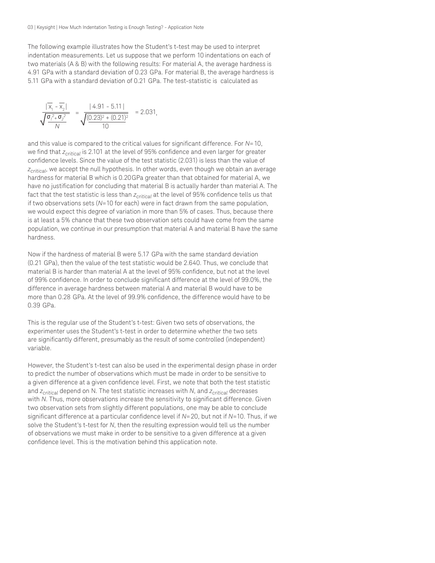The following example illustrates how the Student's t-test may be used to interpret indentation measurements. Let us suppose that we perform 10 indentations on each of two materials (A & B) with the following results: For material A, the average hardness is 4.91 GPa with a standard deviation of 0.23 GPa. For material B, the average hardness is 5.11 GPa with a standard deviation of 0.21 GPa. The test-statistic is calculated as

$$
\frac{|\overline{x}_1 - \overline{x}_2|}{\sqrt{\frac{\sigma_1^2 + \sigma_2^2}{N}}} = \frac{|4.91 - 5.11|}{\sqrt{\frac{(0.23)^2 + (0.21)^2}{10}}} = 2.031,
$$

and this value is compared to the critical values for significant difference. For *N*=10, we find that *zcritical* is 2.101 at the level of 95% confidence and even larger for greater confidence levels. Since the value of the test statistic (2.031) is less than the value of *zcritical*, we accept the null hypothesis. In other words, even though we obtain an average hardness for material B which is 0.20GPa greater than that obtained for material A, we have no justification for concluding that material B is actually harder than material A. The fact that the test statistic is less than *z<sub>critical*</sub> at the level of 95% confidence tells us that if two observations sets (*N*=10 for each) were in fact drawn from the same population, we would expect this degree of variation in more than 5% of cases. Thus, because there is at least a 5% chance that these two observation sets could have come from the same population, we continue in our presumption that material A and material B have the same hardness.

Now if the hardness of material B were 5.17 GPa with the same standard deviation (0.21 GPa), then the value of the test statistic would be 2.640. Thus, we conclude that material B is harder than material A at the level of 95% confidence, but not at the level of 99% confidence. In order to conclude significant difference at the level of 99.0%, the difference in average hardness between material A and material B would have to be more than 0.28 GPa. At the level of 99.9% confidence, the difference would have to be 0.39 GPa.

This is the regular use of the Student's t-test: Given two sets of observations, the experimenter uses the Student's t-test in order to determine whether the two sets are significantly different, presumably as the result of some controlled (independent) variable.

However, the Student's t-test can also be used in the experimental design phase in order to predict the number of observations which must be made in order to be sensitive to a given difference at a given confidence level. First, we note that both the test statistic and *zcritical* depend on N. The test statistic increases with *N*, and *zcritical* decreases with *N*. Thus, more observations increase the sensitivity to significant difference. Given two observation sets from slightly different populations, one may be able to conclude significant difference at a particular confidence level if *N*=20, but not if *N*=10. Thus, if we solve the Student's t-test for *N*, then the resulting expression would tell us the number of observations we must make in order to be sensitive to a given difference at a given confidence level. This is the motivation behind this application note.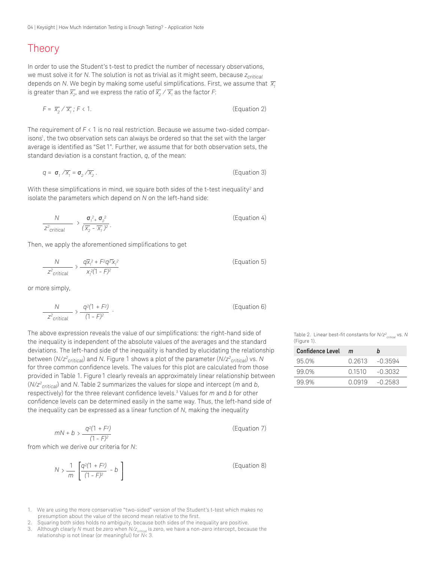#### Theory

In order to use the Student's t-test to predict the number of necessary observations, we must solve it for *N*. The solution is not as trivial as it might seem, because  $z_{critical}$ depends on *N*. We begin by making some useful simplifications. First, we assume that  $\overline{x}$ , is greater than  $\overline{\chi_{_2}}$ , and we express the ratio of  $\overline{\chi_{_2}}\,/\,\overline{\chi_{_1}}$  as the factor F:

$$
F = \overline{x}_2 / \overline{x}_1; F < 1. \tag{Equation 2}
$$

The requirement of *F* < 1 is no real restriction. Because we assume two-sided comparisons<sup>1</sup>, the two observation sets can always be ordered so that the set with the larger average is identified as "Set 1". Further, we assume that for both observation sets, the standard deviation is a constant fraction, *q*, of the mean:

$$
q = \sigma_1 / \overline{x_1} = \sigma_2 / \overline{x_2} \,. \tag{Equation 3}
$$

With these simplifications in mind, we square both sides of the t-test inequality $^{\rm 2}$  and isolate the parameters which depend on *N* on the left-hand side:

$$
\frac{N}{Z^2_{critical}} \rightarrow \frac{\sigma_1^2 + \sigma_2^2}{(\overline{X}_2 - \overline{X}_1)^2}.
$$
 (Equation 4)

Then, we apply the aforementioned simplifications to get

$$
\frac{N}{Z^2_{critical}} \rightarrow \frac{q\overline{x}_i^2 + F^2 q^2 \overline{x}_i^2}{x_i^2 (1 - F)^2}
$$
 (Equation 5)

or more simply,

$$
\frac{N}{Z^2_{critical}} \rightarrow \frac{q^2(1+F^2)}{(1-F)^2} \tag{Equation 6}
$$

The above expression reveals the value of our simplifications: the right-hand side of the inequality is independent of the absolute values of the averages and the standard deviations. The left-hand side of the inequality is handled by elucidating the relationship between (*N*/*z2 critical*) and *N*. Figure 1 shows a plot of the parameter (*N*/*z2 critical*) vs. *N* for three common confidence levels. The values for this plot are calculated from those provided in Table 1. Figure 1 clearly reveals an approximately linear relationship between (*N*/*z2 critical*) and *N*. Table 2 summarizes the values for slope and intercept (*m* and *b*, respectively) for the three relevant confidence levels.<sup>3</sup> Values for *m* and *b* for other confidence levels can be determined easily in the same way. Thus, the left-hand side of the inequality can be expressed as a linear function of *N*, making the inequality

$$
mN + b > \frac{q^2(1 + F^2)}{(1 - F)^2}
$$
 (Equation 7)

from which we derive our criteria for *N*:

$$
N > \frac{1}{m} \left[ \frac{q^2(1 + F^2)}{(1 - F)^2} - b \right]
$$
 (Equation 8)

- 1. We are using the more conservative "two-sided" version of the Student's t-test which makes no presumption about the value of the second mean relative to the first.
- 2. Squaring both sides holds no ambiguity, because both sides of the inequality are positive.
- 3. Although clearly *N* must be zero when *N/zcritical* is zero, we have a non-zero intercept, because the relationship is not linear (or meaningful) for *N*< 3.

Table 2. Linear best-fit constants for *N/z2 critical* vs. *N* (Figure 1).

| <b>Confidence Level</b> | m      | h         |
|-------------------------|--------|-----------|
| 95.0%                   | 0.2613 | $-0.3594$ |
| 99 0%                   | 0.1510 | -0.3032   |
| 99.9%                   | 0 0919 | $-0.2583$ |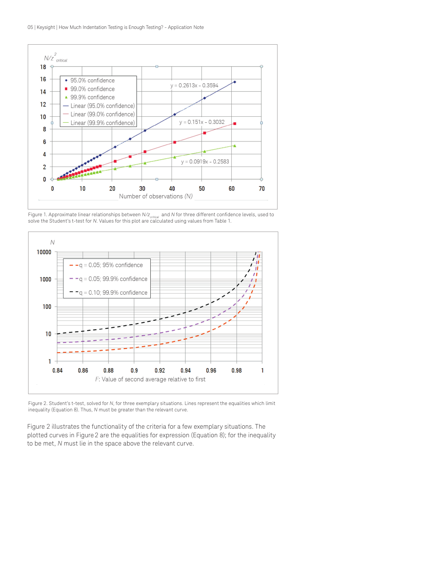

Figure 1. Approximate linear relationships between  $N/Z_{critical}$  and *N* for three different confidence levels, used to solve the Student's t-test for *N*. Values for this plot are calculated using values from Table 1.



Figure 2. Student's t-test, solved for *N*, for three exemplary situations. Lines represent the equalities which limit inequality (Equation 8). Thus, *N* must be greater than the relevant curve.

Figure 2 illustrates the functionality of the criteria for a few exemplary situations. The plotted curves in Figure 2 are the equalities for expression (Equation 8); for the inequality to be met, *N* must lie in the space above the relevant curve.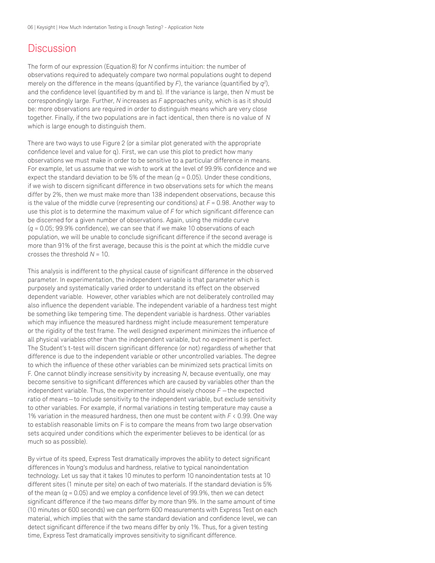#### **Discussion**

The form of our expression (Equation 8) for *N* confirms intuition: the number of observations required to adequately compare two normal populations ought to depend merely on the difference in the means (quantified by  $F$ ), the variance (quantified by  $q^2$ ), and the confidence level (quantified by m and b). If the variance is large, then *N* must be correspondingly large. Further, *N* increases as *F* approaches unity, which is as it should be: more observations are required in order to distinguish means which are very close together. Finally, if the two populations are in fact identical, then there is no value of *N* which is large enough to distinguish them.

There are two ways to use Figure 2 (or a similar plot generated with the appropriate confidence level and value for q). First, we can use this plot to predict how many observations we must make in order to be sensitive to a particular difference in means. For example, let us assume that we wish to work at the level of 99.9% confidence and we expect the standard deviation to be 5% of the mean  $(q = 0.05)$ . Under these conditions, if we wish to discern significant difference in two observations sets for which the means differ by 2%, then we must make more than 138 independent observations, because this is the value of the middle curve (representing our conditions) at *F* = 0.98. Another way to use this plot is to determine the maximum value of *F* for which significant difference can be discerned for a given number of observations. Again, using the middle curve (*q* = 0.05; 99.9% confidence), we can see that if we make 10 observations of each population, we will be unable to conclude significant difference if the second average is more than 91% of the first average, because this is the point at which the middle curve crosses the threshold *N* = 10.

This analysis is indifferent to the physical cause of significant difference in the observed parameter. In experimentation, the independent variable is that parameter which is purposely and systematically varied order to understand its effect on the observed dependent variable. However, other variables which are not deliberately controlled may also influence the dependent variable. The independent variable of a hardness test might be something like tempering time. The dependent variable is hardness. Other variables which may influence the measured hardness might include measurement temperature or the rigidity of the test frame. The well designed experiment minimizes the influence of all physical variables other than the independent variable, but no experiment is perfect. The Student's t-test will discern significant difference (or not) regardless of whether that difference is due to the independent variable or other uncontrolled variables. The degree to which the influence of these other variables can be minimized sets practical limits on F. One cannot blindly increase sensitivity by increasing *N*, because eventually, one may become sensitive to significant differences which are caused by variables other than the independent variable. Thus, the experimenter should wisely choose *F* —the expected ratio of means—to include sensitivity to the independent variable, but exclude sensitivity to other variables. For example, if normal variations in testing temperature may cause a 1% variation in the measured hardness, then one must be content with *F* < 0.99. One way to establish reasonable limits on F is to compare the means from two large observation sets acquired under conditions which the experimenter believes to be identical (or as much so as possible).

By virtue of its speed, Express Test dramatically improves the ability to detect significant differences in Young's modulus and hardness, relative to typical nanoindentation technology. Let us say that it takes 10 minutes to perform 10 nanoindentation tests at 10 different sites (1 minute per site) on each of two materials. If the standard deviation is 5% of the mean  $(q = 0.05)$  and we employ a confidence level of 99.9%, then we can detect significant difference if the two means differ by more than 9%. In the same amount of time (10 minutes or 600 seconds) we can perform 600 measurements with Express Test on each material, which implies that with the same standard deviation and confidence level, we can detect significant difference if the two means differ by only 1%. Thus, for a given testing time, Express Test dramatically improves sensitivity to significant difference.